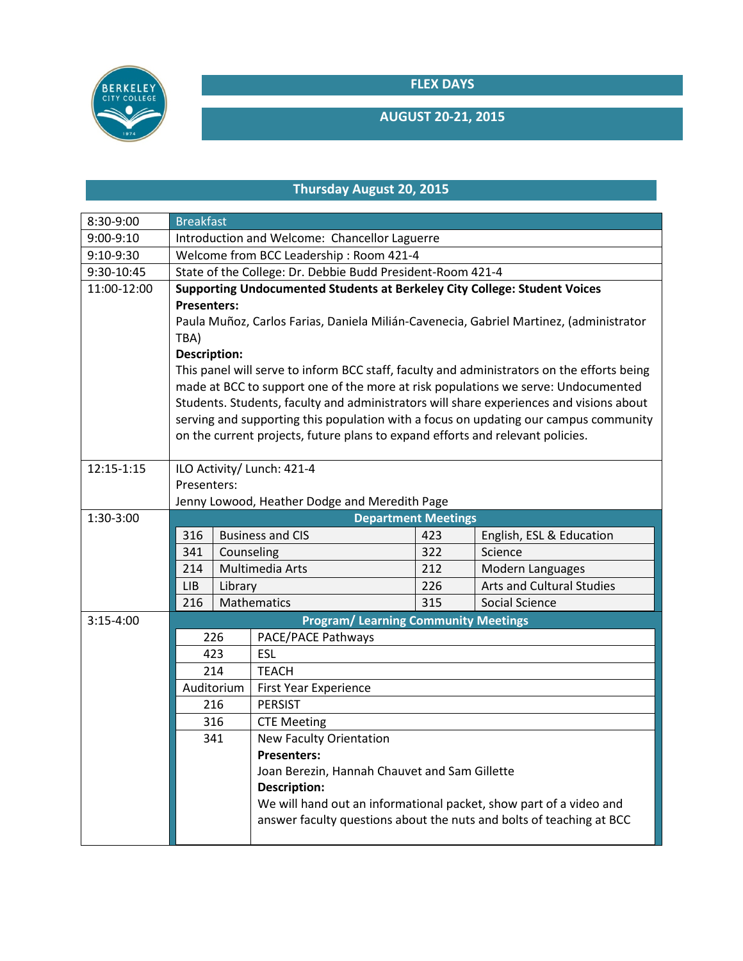**FLEX DAYS**



## **AUGUST 20-21, 2015**

## **Thursday August 20, 2015**

| 8:30-9:00   | <b>Breakfast</b>                                                                                                                                                                                                                                                                                                                                       |                            |                                                                      |     |                                  |  |  |  |
|-------------|--------------------------------------------------------------------------------------------------------------------------------------------------------------------------------------------------------------------------------------------------------------------------------------------------------------------------------------------------------|----------------------------|----------------------------------------------------------------------|-----|----------------------------------|--|--|--|
| 9:00-9:10   | Introduction and Welcome: Chancellor Laguerre                                                                                                                                                                                                                                                                                                          |                            |                                                                      |     |                                  |  |  |  |
| 9:10-9:30   | Welcome from BCC Leadership: Room 421-4                                                                                                                                                                                                                                                                                                                |                            |                                                                      |     |                                  |  |  |  |
| 9:30-10:45  | State of the College: Dr. Debbie Budd President-Room 421-4                                                                                                                                                                                                                                                                                             |                            |                                                                      |     |                                  |  |  |  |
| 11:00-12:00 | Supporting Undocumented Students at Berkeley City College: Student Voices                                                                                                                                                                                                                                                                              |                            |                                                                      |     |                                  |  |  |  |
|             | <b>Presenters:</b>                                                                                                                                                                                                                                                                                                                                     |                            |                                                                      |     |                                  |  |  |  |
|             | Paula Muñoz, Carlos Farias, Daniela Milián-Cavenecia, Gabriel Martinez, (administrator                                                                                                                                                                                                                                                                 |                            |                                                                      |     |                                  |  |  |  |
|             | TBA)                                                                                                                                                                                                                                                                                                                                                   |                            |                                                                      |     |                                  |  |  |  |
|             | <b>Description:</b>                                                                                                                                                                                                                                                                                                                                    |                            |                                                                      |     |                                  |  |  |  |
|             | This panel will serve to inform BCC staff, faculty and administrators on the efforts being                                                                                                                                                                                                                                                             |                            |                                                                      |     |                                  |  |  |  |
|             | made at BCC to support one of the more at risk populations we serve: Undocumented<br>Students. Students, faculty and administrators will share experiences and visions about<br>serving and supporting this population with a focus on updating our campus community<br>on the current projects, future plans to expand efforts and relevant policies. |                            |                                                                      |     |                                  |  |  |  |
|             |                                                                                                                                                                                                                                                                                                                                                        |                            |                                                                      |     |                                  |  |  |  |
|             |                                                                                                                                                                                                                                                                                                                                                        |                            |                                                                      |     |                                  |  |  |  |
|             |                                                                                                                                                                                                                                                                                                                                                        |                            |                                                                      |     |                                  |  |  |  |
| 12:15-1:15  | ILO Activity/ Lunch: 421-4                                                                                                                                                                                                                                                                                                                             |                            |                                                                      |     |                                  |  |  |  |
|             | Presenters:                                                                                                                                                                                                                                                                                                                                            |                            |                                                                      |     |                                  |  |  |  |
|             | Jenny Lowood, Heather Dodge and Meredith Page                                                                                                                                                                                                                                                                                                          |                            |                                                                      |     |                                  |  |  |  |
| 1:30-3:00   |                                                                                                                                                                                                                                                                                                                                                        | <b>Department Meetings</b> |                                                                      |     |                                  |  |  |  |
|             | 316                                                                                                                                                                                                                                                                                                                                                    |                            | <b>Business and CIS</b>                                              | 423 | English, ESL & Education         |  |  |  |
|             | 341                                                                                                                                                                                                                                                                                                                                                    | Counseling                 |                                                                      | 322 | Science                          |  |  |  |
|             | 214                                                                                                                                                                                                                                                                                                                                                    |                            | Multimedia Arts                                                      | 212 | Modern Languages                 |  |  |  |
|             | Library<br>LIB                                                                                                                                                                                                                                                                                                                                         |                            |                                                                      | 226 | <b>Arts and Cultural Studies</b> |  |  |  |
|             | 216                                                                                                                                                                                                                                                                                                                                                    |                            | Mathematics                                                          | 315 | Social Science                   |  |  |  |
| $3:15-4:00$ | <b>Program/ Learning Community Meetings</b>                                                                                                                                                                                                                                                                                                            |                            |                                                                      |     |                                  |  |  |  |
|             | 226                                                                                                                                                                                                                                                                                                                                                    |                            | PACE/PACE Pathways                                                   |     |                                  |  |  |  |
|             | 423<br>214<br>Auditorium<br>216<br>316<br>341                                                                                                                                                                                                                                                                                                          |                            | ESL                                                                  |     |                                  |  |  |  |
|             |                                                                                                                                                                                                                                                                                                                                                        |                            | <b>TEACH</b>                                                         |     |                                  |  |  |  |
|             |                                                                                                                                                                                                                                                                                                                                                        |                            | <b>First Year Experience</b>                                         |     |                                  |  |  |  |
|             |                                                                                                                                                                                                                                                                                                                                                        |                            | <b>PERSIST</b>                                                       |     |                                  |  |  |  |
|             |                                                                                                                                                                                                                                                                                                                                                        |                            | <b>CTE Meeting</b>                                                   |     |                                  |  |  |  |
|             |                                                                                                                                                                                                                                                                                                                                                        |                            | New Faculty Orientation                                              |     |                                  |  |  |  |
|             |                                                                                                                                                                                                                                                                                                                                                        |                            | <b>Presenters:</b>                                                   |     |                                  |  |  |  |
|             |                                                                                                                                                                                                                                                                                                                                                        |                            | Joan Berezin, Hannah Chauvet and Sam Gillette                        |     |                                  |  |  |  |
|             |                                                                                                                                                                                                                                                                                                                                                        |                            | <b>Description:</b>                                                  |     |                                  |  |  |  |
|             |                                                                                                                                                                                                                                                                                                                                                        |                            | We will hand out an informational packet, show part of a video and   |     |                                  |  |  |  |
|             |                                                                                                                                                                                                                                                                                                                                                        |                            | answer faculty questions about the nuts and bolts of teaching at BCC |     |                                  |  |  |  |
|             |                                                                                                                                                                                                                                                                                                                                                        |                            |                                                                      |     |                                  |  |  |  |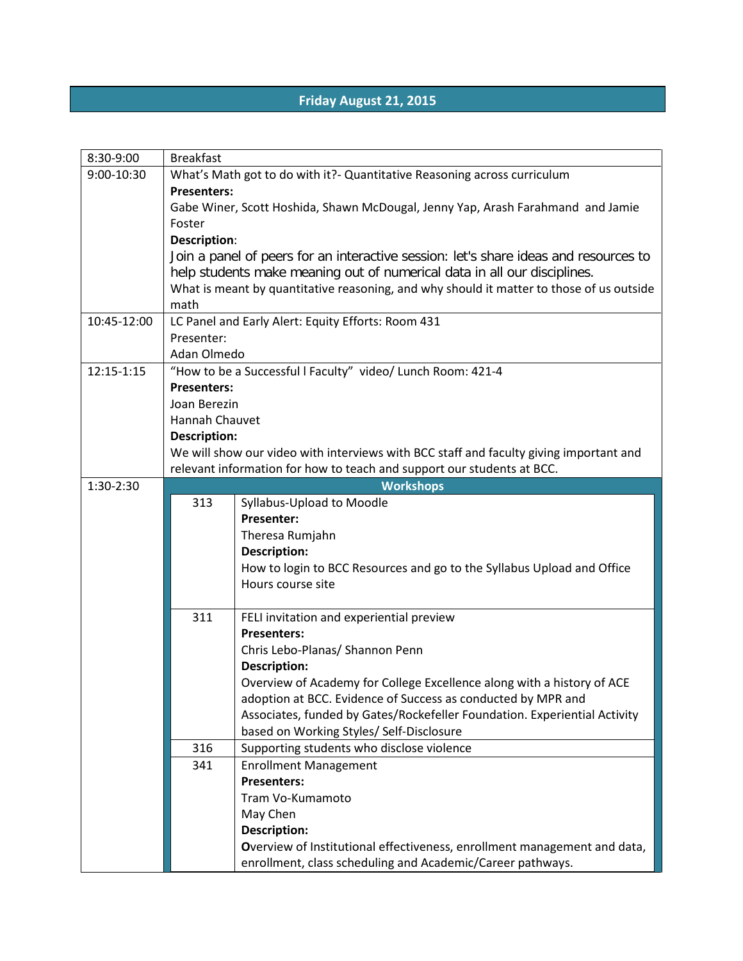## **Friday August 21, 2015**

| 8:30-9:00   | <b>Breakfast</b>                                                                       |                                                                                          |  |  |  |  |  |
|-------------|----------------------------------------------------------------------------------------|------------------------------------------------------------------------------------------|--|--|--|--|--|
| 9:00-10:30  | What's Math got to do with it?- Quantitative Reasoning across curriculum               |                                                                                          |  |  |  |  |  |
|             | <b>Presenters:</b>                                                                     |                                                                                          |  |  |  |  |  |
|             | Gabe Winer, Scott Hoshida, Shawn McDougal, Jenny Yap, Arash Farahmand and Jamie        |                                                                                          |  |  |  |  |  |
|             | Foster                                                                                 |                                                                                          |  |  |  |  |  |
|             | <b>Description:</b>                                                                    |                                                                                          |  |  |  |  |  |
|             | Join a panel of peers for an interactive session: let's share ideas and resources to   |                                                                                          |  |  |  |  |  |
|             | help students make meaning out of numerical data in all our disciplines.               |                                                                                          |  |  |  |  |  |
|             |                                                                                        | What is meant by quantitative reasoning, and why should it matter to those of us outside |  |  |  |  |  |
|             | math                                                                                   |                                                                                          |  |  |  |  |  |
| 10:45-12:00 | LC Panel and Early Alert: Equity Efforts: Room 431                                     |                                                                                          |  |  |  |  |  |
|             | Presenter:                                                                             |                                                                                          |  |  |  |  |  |
|             | Adan Olmedo                                                                            |                                                                                          |  |  |  |  |  |
| 12:15-1:15  | "How to be a Successful I Faculty" video/ Lunch Room: 421-4                            |                                                                                          |  |  |  |  |  |
|             | <b>Presenters:</b>                                                                     |                                                                                          |  |  |  |  |  |
|             | Joan Berezin                                                                           |                                                                                          |  |  |  |  |  |
|             | Hannah Chauvet                                                                         |                                                                                          |  |  |  |  |  |
|             | <b>Description:</b>                                                                    |                                                                                          |  |  |  |  |  |
|             | We will show our video with interviews with BCC staff and faculty giving important and |                                                                                          |  |  |  |  |  |
|             | relevant information for how to teach and support our students at BCC.                 |                                                                                          |  |  |  |  |  |
| 1:30-2:30   |                                                                                        | <b>Workshops</b>                                                                         |  |  |  |  |  |
|             | 313                                                                                    | Syllabus-Upload to Moodle<br>Presenter:                                                  |  |  |  |  |  |
|             |                                                                                        | Theresa Rumjahn                                                                          |  |  |  |  |  |
|             |                                                                                        | <b>Description:</b>                                                                      |  |  |  |  |  |
|             |                                                                                        | How to login to BCC Resources and go to the Syllabus Upload and Office                   |  |  |  |  |  |
|             |                                                                                        | Hours course site                                                                        |  |  |  |  |  |
|             |                                                                                        |                                                                                          |  |  |  |  |  |
|             | 311                                                                                    | FELI invitation and experiential preview                                                 |  |  |  |  |  |
|             |                                                                                        | <b>Presenters:</b>                                                                       |  |  |  |  |  |
|             |                                                                                        | Chris Lebo-Planas/ Shannon Penn                                                          |  |  |  |  |  |
|             |                                                                                        | <b>Description:</b>                                                                      |  |  |  |  |  |
|             |                                                                                        | Overview of Academy for College Excellence along with a history of ACE                   |  |  |  |  |  |
|             |                                                                                        | adoption at BCC. Evidence of Success as conducted by MPR and                             |  |  |  |  |  |
|             |                                                                                        | Associates, funded by Gates/Rockefeller Foundation. Experiential Activity                |  |  |  |  |  |
|             |                                                                                        | based on Working Styles/ Self-Disclosure                                                 |  |  |  |  |  |
|             | 316                                                                                    | Supporting students who disclose violence                                                |  |  |  |  |  |
|             | 341                                                                                    | <b>Enrollment Management</b>                                                             |  |  |  |  |  |
|             |                                                                                        | <b>Presenters:</b>                                                                       |  |  |  |  |  |
|             |                                                                                        | Tram Vo-Kumamoto                                                                         |  |  |  |  |  |
|             |                                                                                        | May Chen                                                                                 |  |  |  |  |  |
|             |                                                                                        | <b>Description:</b>                                                                      |  |  |  |  |  |
|             |                                                                                        | Overview of Institutional effectiveness, enrollment management and data,                 |  |  |  |  |  |
|             |                                                                                        | enrollment, class scheduling and Academic/Career pathways.                               |  |  |  |  |  |